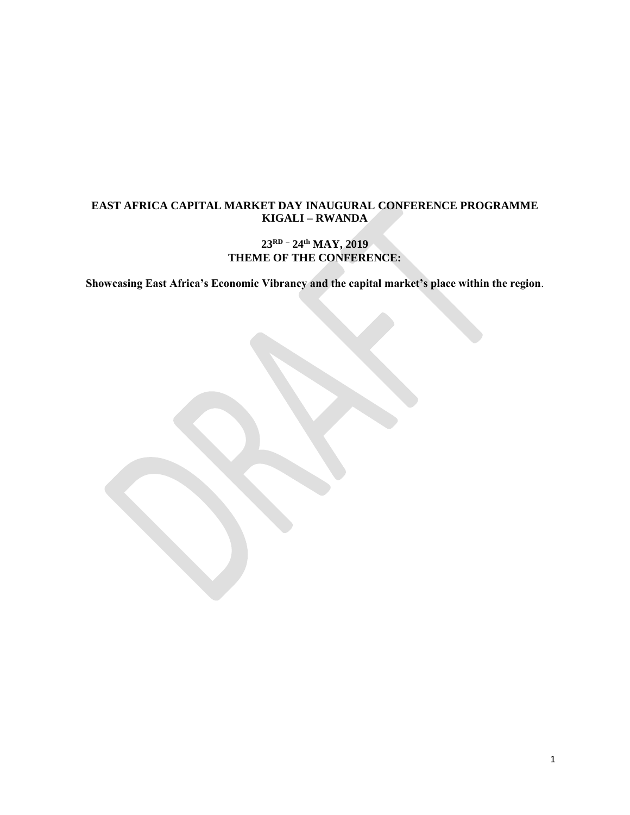## **EAST AFRICA CAPITAL MARKET DAY INAUGURAL CONFERENCE PROGRAMME KIGALI – RWANDA**

## **23RD – 24 th MAY, 2019 THEME OF THE CONFERENCE:**

**Showcasing East Africa's Economic Vibrancy and the capital market's place within the region**.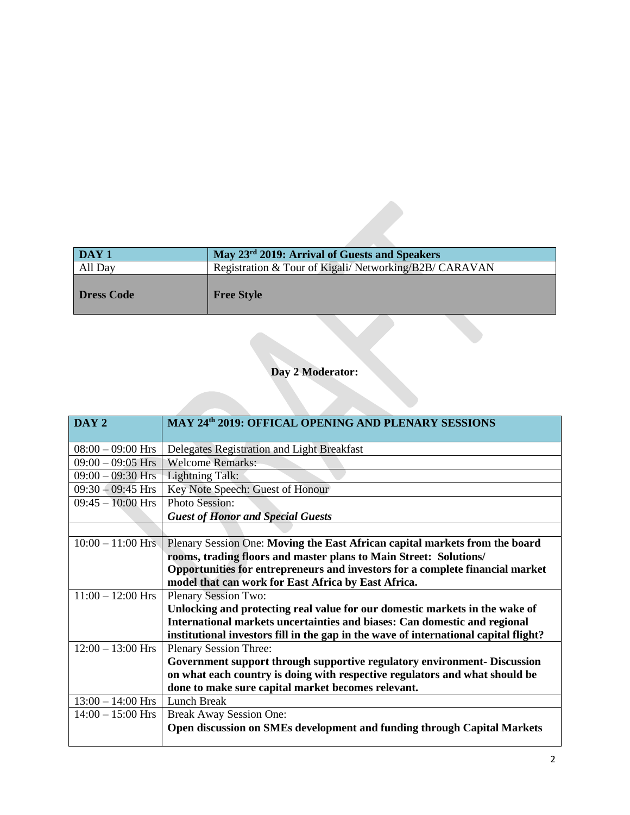| <b>DAY 1</b> | May 23 <sup>rd</sup> 2019: Arrival of Guests and Speakers |
|--------------|-----------------------------------------------------------|
| All Day      | Registration & Tour of Kigali/Networking/B2B/CARAVAN      |
| Dress Code   | <b>Free Style</b>                                         |

## **Day 2 Moderator:**

| DAY <sub>2</sub>    | MAY 24th 2019: OFFICAL OPENING AND PLENARY SESSIONS                                  |
|---------------------|--------------------------------------------------------------------------------------|
|                     |                                                                                      |
| $08:00 - 09:00$ Hrs | Delegates Registration and Light Breakfast                                           |
| $09:00 - 09:05$ Hrs | <b>Welcome Remarks:</b>                                                              |
| $09:00 - 09:30$ Hrs | Lightning Talk:                                                                      |
| $09:30 - 09:45$ Hrs | Key Note Speech: Guest of Honour                                                     |
| $09:45 - 10:00$ Hrs | <b>Photo Session:</b>                                                                |
|                     | <b>Guest of Honor and Special Guests</b>                                             |
|                     |                                                                                      |
| $10:00 - 11:00$ Hrs | Plenary Session One: Moving the East African capital markets from the board          |
|                     | rooms, trading floors and master plans to Main Street: Solutions/                    |
|                     | Opportunities for entrepreneurs and investors for a complete financial market        |
|                     | model that can work for East Africa by East Africa.                                  |
| $11:00 - 12:00$ Hrs | <b>Plenary Session Two:</b>                                                          |
|                     | Unlocking and protecting real value for our domestic markets in the wake of          |
|                     | International markets uncertainties and biases: Can domestic and regional            |
|                     | institutional investors fill in the gap in the wave of international capital flight? |
| $12:00 - 13:00$ Hrs | <b>Plenary Session Three:</b>                                                        |
|                     | Government support through supportive regulatory environment- Discussion             |
|                     | on what each country is doing with respective regulators and what should be          |
|                     | done to make sure capital market becomes relevant.                                   |
| $13:00 - 14:00$ Hrs | Lunch Break                                                                          |
| $14:00 - 15:00$ Hrs | <b>Break Away Session One:</b>                                                       |
|                     | Open discussion on SMEs development and funding through Capital Markets              |
|                     |                                                                                      |